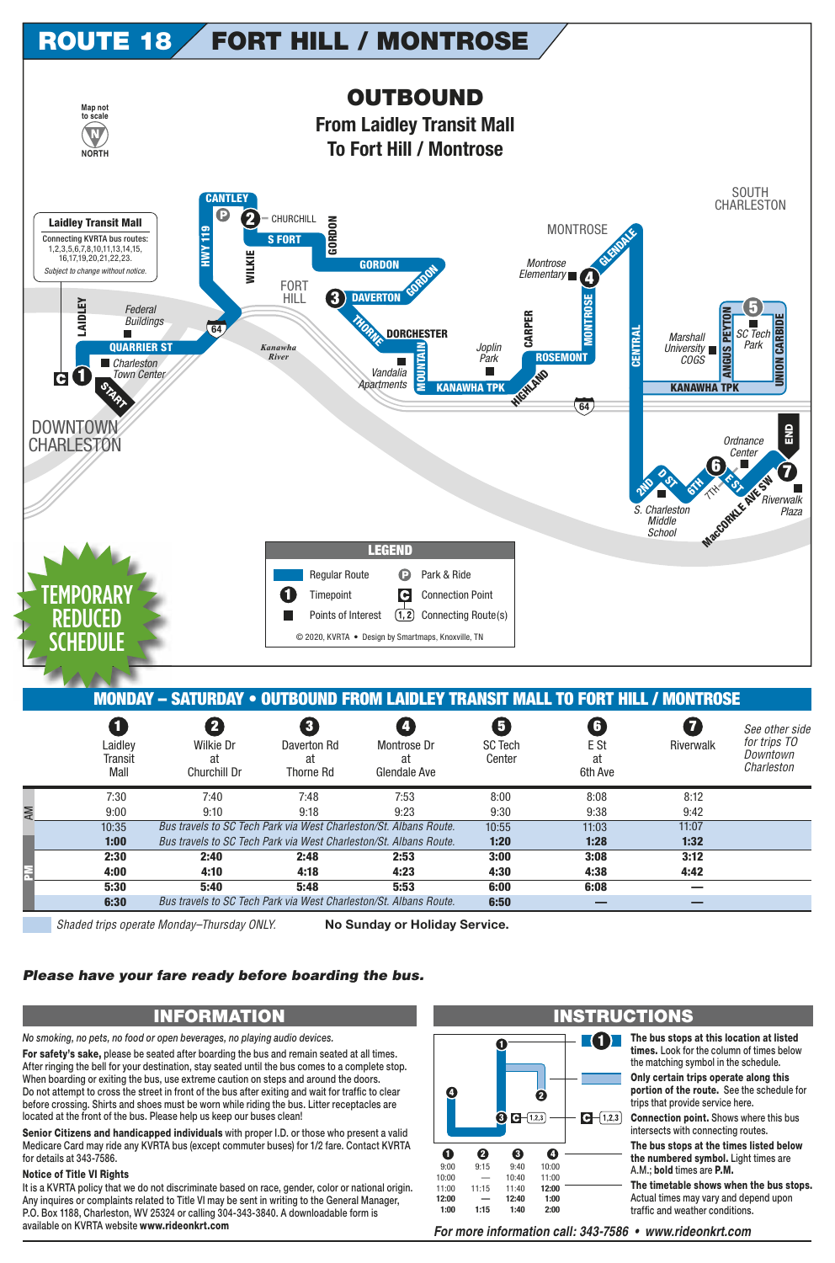

|                            | <b>MONDAY - SATURDAY • OUTBOUND FROM LAIDLEY TRANSIT MALL TO FORT HILL / MONTROSE</b> |                                                          |                                   |                               |                            |           |                                                          |
|----------------------------|---------------------------------------------------------------------------------------|----------------------------------------------------------|-----------------------------------|-------------------------------|----------------------------|-----------|----------------------------------------------------------|
| Laidley<br>Transit<br>Mall | $\mathbf{2}$<br>Wilkie Dr<br>at<br>Churchill Dr                                       | $\left 3\right\rangle$<br>Daverton Rd<br>at<br>Thorne Rd | Montrose Dr<br>at<br>Glendale Ave | 5<br><b>SC Tech</b><br>Center | 6<br>E St<br>at<br>6th Ave | Riverwalk | See other side<br>for trips TO<br>Downtown<br>Charleston |
| 7:30                       | 7:40                                                                                  | 7:48                                                     | 7:53                              | 8:00                          | 8:08                       | 8:12      |                                                          |
| 9:00                       | 9:10                                                                                  | 9:18                                                     | 9:23                              | 9:30                          | 9:38                       | 9:42      |                                                          |
| 10:35                      | Bus travels to SC Tech Park via West Charleston/St. Albans Route.                     |                                                          |                                   | 10:55                         | 11:03                      | 11:07     |                                                          |
| 1:00                       | Bus travels to SC Tech Park via West Charleston/St. Albans Route.                     |                                                          |                                   | 1:20                          | 1:28                       | 1:32      |                                                          |
| 2:30                       | 2:40                                                                                  | 2:48                                                     | 2:53                              | 3:00                          | 3:08                       | 3:12      |                                                          |
| 4:00                       | 4:10                                                                                  | 4:18                                                     | 4:23                              | 4:30                          | 4:38                       | 4:42      |                                                          |
| 5:30                       | 5:40                                                                                  | 5:48                                                     | 5:53                              | 6:00                          | 6:08                       |           |                                                          |
| 6:30                       | Bus travels to SC Tech Park via West Charleston/St. Albans Route.                     |                                                          |                                   | 6:50                          |                            |           |                                                          |

Shaded trips operate Monday–Thursday ONLY. **No Sunday or Holiday Service.**

## *Please have your fare ready before boarding the bus.*

*No smoking, no pets, no food or open beverages, no playing audio devices.*

**For safety's sake,** please be seated after boarding the bus and remain seated at all times. After ringing the bell for your destination, stay seated until the bus comes to a complete stop. When boarding or exiting the bus, use extreme caution on steps and around the doors. Do not attempt to cross the street in front of the bus after exiting and wait for traffic to clear before crossing. Shirts and shoes must be worn while riding the bus. Litter receptacles are located at the front of the bus. Please help us keep our buses clean!

**Senior Citizens and handicapped individuals** with proper I.D. or those who present a valid Medicare Card may ride any KVRTA bus (except commuter buses) for 1/2 fare. Contact KVRTA for details at 343-7586.

## **Notice of Title VI Rights**

AM

**PM**

It is a KVRTA policy that we do not discriminate based on race, gender, color or national origin. Any inquires or complaints related to Title VI may be sent in writing to the General Manager, P.O. Box 1188, Charleston, WV 25324 or calling 304-343-3840. A downloadable form is available on KVRTA website www.rideonkrt.com *For more information call: 343-7586 • www.rideonkrt.com*